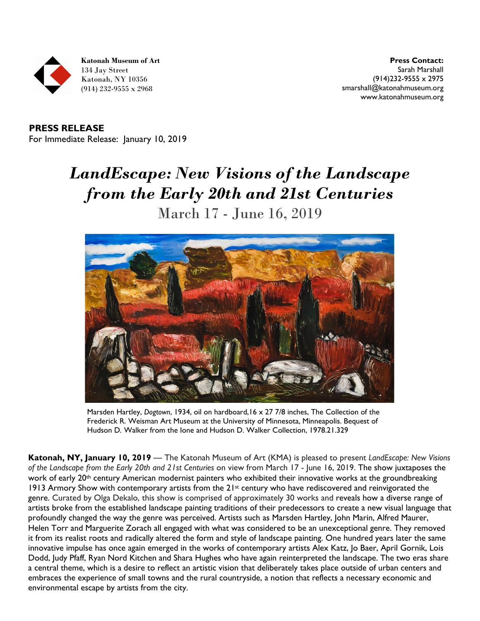

**Katonah Museum of Art** 134 Jay Street Katonah, NY 10356 (914) 232-9555 x 2968

**Press Contact:**  Sarah Marshall (914)232-9555 x 2975 [smarshall@katonahmuseum.org](mailto:smarshall@katonahmuseum.org) [www.katonahmuseum.org](file://dc01/Marketing/Publicity/Press%20Releases/141%20LandEscape/www.katonahmuseum.org)

**PRESS RELEASE** For Immediate Release: January 10, 2019

## *LandEscape: New Visions of the Landscape from the Early 20th and 21st Centuries* March 17 - June 16, 2019



Marsden Hartley, *Dogtown*, 1934, oil on hardboard,16 x 27 7/8 inches, The Collection of the Frederick R. Weisman Art Museum at the University of Minnesota, Minneapolis. Bequest of Hudson D. Walker from the Ione and Hudson D. Walker Collection, 1978.21.329

**Katonah, NY, January 10, 2019** — The Katonah Museum of Art (KMA) is pleased to present *LandEscape: New Visions of the Landscape from the Early 20th and 21st Centuries* on view from March 17 - June 16, 2019. The show juxtaposes the work of early 20<sup>th</sup> century American modernist painters who exhibited their innovative works at the groundbreaking 1913 Armory Show with contemporary artists from the 21<sup>st</sup> century who have rediscovered and reinvigorated the genre. Curated by Olga Dekalo, this show is comprised of approximately 30 works and reveals how a diverse range of artists broke from the established landscape painting traditions of their predecessors to create a new visual language that profoundly changed the way the genre was perceived. Artists such as Marsden Hartley, John Marin, Alfred Maurer, Helen Torr and Marguerite Zorach all engaged with what was considered to be an unexceptional genre. They removed it from its realist roots and radically altered the form and style of landscape painting. One hundred years later the same innovative impulse has once again emerged in the works of contemporary artists Alex Katz, Jo Baer, April Gornik, Lois Dodd, Judy Pfaff, Ryan Nord Kitchen and Shara Hughes who have again reinterpreted the landscape. The two eras share a central theme, which is a desire to reflect an artistic vision that deliberately takes place outside of urban centers and embraces the experience of small towns and the rural countryside, a notion that reflects a necessary economic and environmental escape by artists from the city.